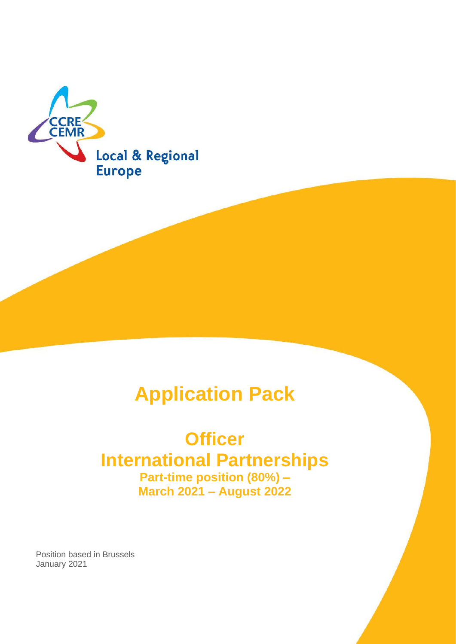

# **Application Pack**

# **Officer International Partnerships Part-time position (80%) – March 2021 – August 2022**

Position based in Brussels January 2021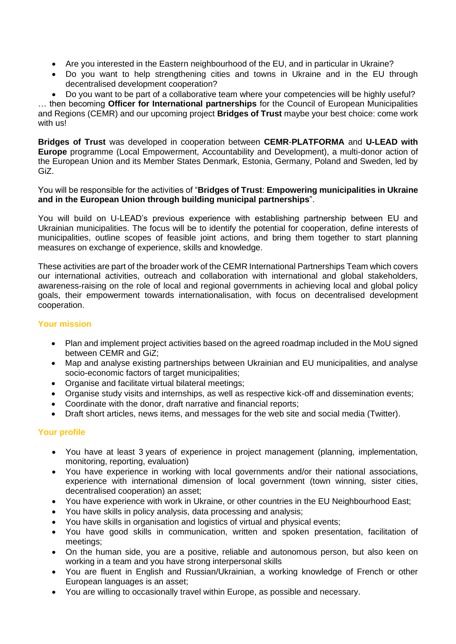- Are you interested in the Eastern neighbourhood of the EU, and in particular in Ukraine?
- Do you want to help strengthening cities and towns in Ukraine and in the EU through decentralised development cooperation?

• Do you want to be part of a collaborative team where your competencies will be highly useful? … then becoming **Officer for International partnerships** for the Council of European Municipalities and Regions (CEMR) and our upcoming project **Bridges of Trust** maybe your best choice: come work with us!

**Bridges of Trust** was developed in cooperation between **CEMR**-**PLATFORMA** and **U-LEAD with Europe** programme (Local Empowerment, Accountability and Development), a multi-donor action of the European Union and its Member States Denmark, Estonia, Germany, Poland and Sweden, led by GiZ.

You will be responsible for the activities of "**Bridges of Trust**: **Empowering municipalities in Ukraine and in the European Union through building municipal partnerships**".

You will build on U-LEAD's previous experience with establishing partnership between EU and Ukrainian municipalities. The focus will be to identify the potential for cooperation, define interests of municipalities, outline scopes of feasible joint actions, and bring them together to start planning measures on exchange of experience, skills and knowledge.

These activities are part of the broader work of the CEMR International Partnerships Team which covers our international activities, outreach and collaboration with international and global stakeholders, awareness-raising on the role of local and regional governments in achieving local and global policy goals, their empowerment towards internationalisation, with focus on decentralised development cooperation.

# **Your mission**

- Plan and implement project activities based on the agreed roadmap included in the MoU signed between CEMR and GiZ;
- Map and analyse existing partnerships between Ukrainian and EU municipalities, and analyse socio-economic factors of target municipalities;
- Organise and facilitate virtual bilateral meetings;
- Organise study visits and internships, as well as respective kick-off and dissemination events;
- Coordinate with the donor, draft narrative and financial reports;
- Draft short articles, news items, and messages for the web site and social media (Twitter).

# **Your profile**

- You have at least 3 years of experience in project management (planning, implementation, monitoring, reporting, evaluation)
- You have experience in working with local governments and/or their national associations, experience with international dimension of local government (town winning, sister cities, decentralised cooperation) an asset;
- You have experience with work in Ukraine, or other countries in the EU Neighbourhood East;
- You have skills in policy analysis, data processing and analysis;
- You have skills in organisation and logistics of virtual and physical events;
- You have good skills in communication, written and spoken presentation, facilitation of meetings;
- On the human side, you are a positive, reliable and autonomous person, but also keen on working in a team and you have strong interpersonal skills
- You are fluent in English and Russian/Ukrainian, a working knowledge of French or other European languages is an asset;
- You are willing to occasionally travel within Europe, as possible and necessary.